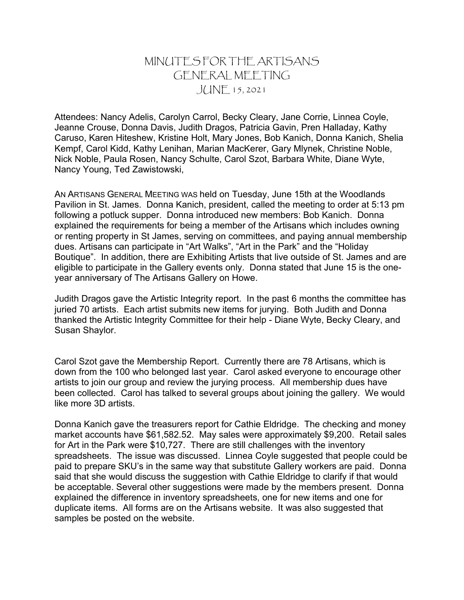## MINUTES FOR THE ARTISANS GENERAL MEETING JUNE 15, 2021

Attendees: Nancy Adelis, Carolyn Carrol, Becky Cleary, Jane Corrie, Linnea Coyle, Jeanne Crouse, Donna Davis, Judith Dragos, Patricia Gavin, Pren Halladay, Kathy Caruso, Karen Hiteshew, Kristine Holt, Mary Jones, Bob Kanich, Donna Kanich, Shelia Kempf, Carol Kidd, Kathy Lenihan, Marian MacKerer, Gary Mlynek, Christine Noble, Nick Noble, Paula Rosen, Nancy Schulte, Carol Szot, Barbara White, Diane Wyte, Nancy Young, Ted Zawistowski,

AN ARTISANS GENERAL MEETING WAS held on Tuesday, June 15th at the Woodlands Pavilion in St. James. Donna Kanich, president, called the meeting to order at 5:13 pm following a potluck supper. Donna introduced new members: Bob Kanich. Donna explained the requirements for being a member of the Artisans which includes owning or renting property in St James, serving on committees, and paying annual membership dues. Artisans can participate in "Art Walks", "Art in the Park" and the "Holiday Boutique". In addition, there are Exhibiting Artists that live outside of St. James and are eligible to participate in the Gallery events only. Donna stated that June 15 is the oneyear anniversary of The Artisans Gallery on Howe.

Judith Dragos gave the Artistic Integrity report. In the past 6 months the committee has juried 70 artists. Each artist submits new items for jurying. Both Judith and Donna thanked the Artistic Integrity Committee for their help - Diane Wyte, Becky Cleary, and Susan Shaylor.

Carol Szot gave the Membership Report. Currently there are 78 Artisans, which is down from the 100 who belonged last year. Carol asked everyone to encourage other artists to join our group and review the jurying process. All membership dues have been collected. Carol has talked to several groups about joining the gallery. We would like more 3D artists.

Donna Kanich gave the treasurers report for Cathie Eldridge. The checking and money market accounts have \$61,582.52. May sales were approximately \$9,200. Retail sales for Art in the Park were \$10,727. There are still challenges with the inventory spreadsheets. The issue was discussed. Linnea Coyle suggested that people could be paid to prepare SKU's in the same way that substitute Gallery workers are paid. Donna said that she would discuss the suggestion with Cathie Eldridge to clarify if that would be acceptable. Several other suggestions were made by the members present. Donna explained the difference in inventory spreadsheets, one for new items and one for duplicate items. All forms are on the Artisans website. It was also suggested that samples be posted on the website.